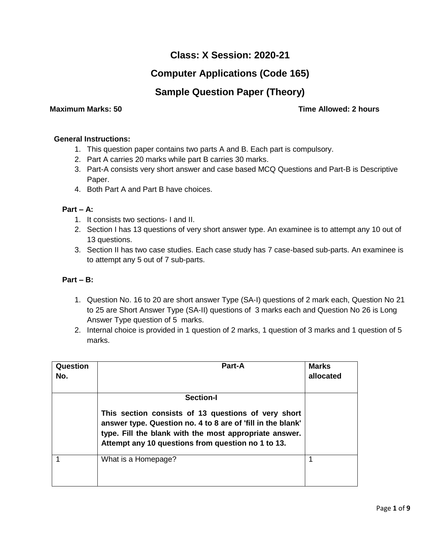# **Class: X Session: 2020-21**

# **Computer Applications (Code 165)**

## **Sample Question Paper (Theory)**

### **Maximum Marks: 50 Time Allowed: 2 hours**

#### **General Instructions:**

- 1. This question paper contains two parts A and B. Each part is compulsory.
- 2. Part A carries 20 marks while part B carries 30 marks.
- 3. Part-A consists very short answer and case based MCQ Questions and Part-B is Descriptive Paper.
- 4. Both Part A and Part B have choices.

### **Part – A:**

- 1. It consists two sections- I and II.
- 2. Section I has 13 questions of very short answer type. An examinee is to attempt any 10 out of 13 questions.
- 3. Section II has two case studies. Each case study has 7 case-based sub-parts. An examinee is to attempt any 5 out of 7 sub-parts.

#### **Part – B:**

- 1. Question No. 16 to 20 are short answer Type (SA-I) questions of 2 mark each, Question No 21 to 25 are Short Answer Type (SA-II) questions of 3 marks each and Question No 26 is Long Answer Type question of 5 marks.
- 2. Internal choice is provided in 1 question of 2 marks, 1 question of 3 marks and 1 question of 5 marks.

| Question<br>No. | <b>Part-A</b>                                                                                                                                                                                                                      | <b>Marks</b><br>allocated |
|-----------------|------------------------------------------------------------------------------------------------------------------------------------------------------------------------------------------------------------------------------------|---------------------------|
|                 | <b>Section-I</b>                                                                                                                                                                                                                   |                           |
|                 | This section consists of 13 questions of very short<br>answer type. Question no. 4 to 8 are of 'fill in the blank'<br>type. Fill the blank with the most appropriate answer.<br>Attempt any 10 questions from question no 1 to 13. |                           |
|                 | What is a Homepage?                                                                                                                                                                                                                |                           |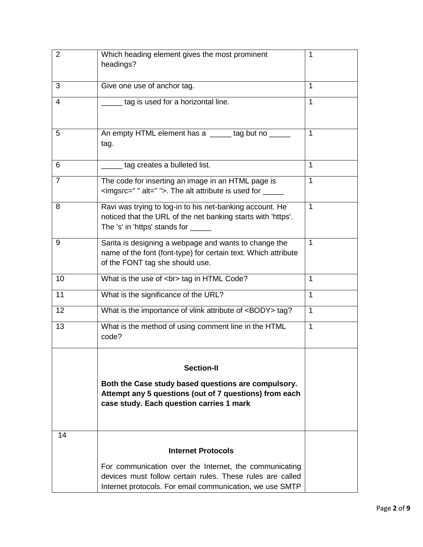| $\overline{2}$ | Which heading element gives the most prominent                                                                                                                | 1            |
|----------------|---------------------------------------------------------------------------------------------------------------------------------------------------------------|--------------|
|                | headings?                                                                                                                                                     |              |
| 3              | Give one use of anchor tag.                                                                                                                                   | $\mathbf{1}$ |
| 4              | tag is used for a horizontal line.                                                                                                                            | $\mathbf{1}$ |
|                |                                                                                                                                                               |              |
| 5              | An empty HTML element has a _____ tag but no _____<br>tag.                                                                                                    | $\mathbf{1}$ |
|                |                                                                                                                                                               |              |
| 6              | tag creates a bulleted list.                                                                                                                                  | $\mathbf{1}$ |
| $\overline{7}$ | The code for inserting an image in an HTML page is<br><imgsrc=" "="" alt=" ">. The alt attribute is used for _____</imgsrc=">                                 | $\mathbf{1}$ |
| 8              | Ravi was trying to log-in to his net-banking account. He<br>noticed that the URL of the net banking starts with 'https'.<br>The 's' in 'https' stands for ___ | $\mathbf{1}$ |
| 9              | Sarita is designing a webpage and wants to change the<br>name of the font (font-type) for certain text. Which attribute<br>of the FONT tag she should use.    | $\mathbf{1}$ |
| 10             | What is the use of<br>tag in HTML Code?                                                                                                                       | 1            |
| 11             | What is the significance of the URL?                                                                                                                          | $\mathbf{1}$ |
| 12             | What is the importance of vlink attribute of <body> tag?</body>                                                                                               | $\mathbf{1}$ |
| 13             | What is the method of using comment line in the HTML<br>code?                                                                                                 | $\mathbf{1}$ |
|                |                                                                                                                                                               |              |
|                | <b>Section-II</b>                                                                                                                                             |              |
|                | Both the Case study based questions are compulsory.                                                                                                           |              |
|                | Attempt any 5 questions (out of 7 questions) from each                                                                                                        |              |
|                | case study. Each question carries 1 mark                                                                                                                      |              |
|                |                                                                                                                                                               |              |
| 14             |                                                                                                                                                               |              |
|                | <b>Internet Protocols</b>                                                                                                                                     |              |
|                | For communication over the Internet, the communicating                                                                                                        |              |
|                | devices must follow certain rules. These rules are called<br>Internet protocols. For email communication, we use SMTP                                         |              |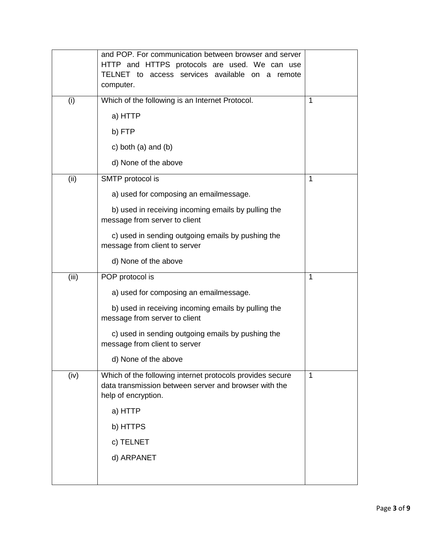|       | and POP. For communication between browser and server<br>HTTP and HTTPS protocols are used. We can use<br>TELNET to access services available on a remote<br>computer. |   |
|-------|------------------------------------------------------------------------------------------------------------------------------------------------------------------------|---|
| (i)   | Which of the following is an Internet Protocol.                                                                                                                        | 1 |
|       | a) HTTP                                                                                                                                                                |   |
|       | b) FTP                                                                                                                                                                 |   |
|       | c) both $(a)$ and $(b)$                                                                                                                                                |   |
|       | d) None of the above                                                                                                                                                   |   |
| (ii)  | SMTP protocol is                                                                                                                                                       | 1 |
|       | a) used for composing an emailmessage.                                                                                                                                 |   |
|       | b) used in receiving incoming emails by pulling the<br>message from server to client                                                                                   |   |
|       | c) used in sending outgoing emails by pushing the<br>message from client to server                                                                                     |   |
|       | d) None of the above                                                                                                                                                   |   |
| (iii) | POP protocol is                                                                                                                                                        | 1 |
|       | a) used for composing an emailmessage.                                                                                                                                 |   |
|       | b) used in receiving incoming emails by pulling the<br>message from server to client                                                                                   |   |
|       | c) used in sending outgoing emails by pushing the<br>message from client to server                                                                                     |   |
|       | d) None of the above                                                                                                                                                   |   |
| (iv)  | Which of the following internet protocols provides secure<br>data transmission between server and browser with the<br>help of encryption.                              | 1 |
|       | a) HTTP                                                                                                                                                                |   |
|       | b) HTTPS                                                                                                                                                               |   |
|       | c) TELNET                                                                                                                                                              |   |
|       | d) ARPANET                                                                                                                                                             |   |
|       |                                                                                                                                                                        |   |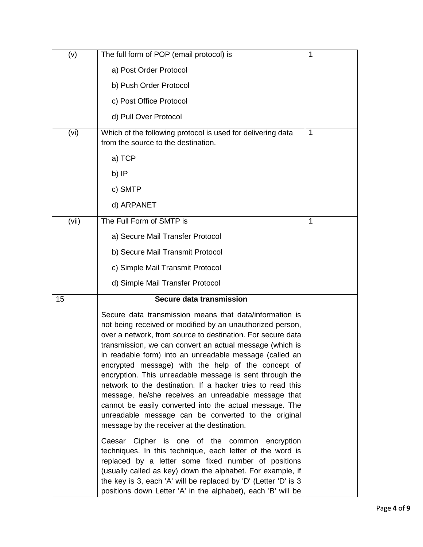| (v)   | The full form of POP (email protocol) is                                                                                                                                                                                                                                                                                                                                                                                                                                                                                                                                                                                                                                                                          | 1           |
|-------|-------------------------------------------------------------------------------------------------------------------------------------------------------------------------------------------------------------------------------------------------------------------------------------------------------------------------------------------------------------------------------------------------------------------------------------------------------------------------------------------------------------------------------------------------------------------------------------------------------------------------------------------------------------------------------------------------------------------|-------------|
|       | a) Post Order Protocol                                                                                                                                                                                                                                                                                                                                                                                                                                                                                                                                                                                                                                                                                            |             |
|       | b) Push Order Protocol                                                                                                                                                                                                                                                                                                                                                                                                                                                                                                                                                                                                                                                                                            |             |
|       | c) Post Office Protocol                                                                                                                                                                                                                                                                                                                                                                                                                                                                                                                                                                                                                                                                                           |             |
|       | d) Pull Over Protocol                                                                                                                                                                                                                                                                                                                                                                                                                                                                                                                                                                                                                                                                                             |             |
| (vi)  | Which of the following protocol is used for delivering data<br>from the source to the destination.                                                                                                                                                                                                                                                                                                                                                                                                                                                                                                                                                                                                                | $\mathbf 1$ |
|       | a) TCP                                                                                                                                                                                                                                                                                                                                                                                                                                                                                                                                                                                                                                                                                                            |             |
|       | b) IP                                                                                                                                                                                                                                                                                                                                                                                                                                                                                                                                                                                                                                                                                                             |             |
|       | c) SMTP                                                                                                                                                                                                                                                                                                                                                                                                                                                                                                                                                                                                                                                                                                           |             |
|       | d) ARPANET                                                                                                                                                                                                                                                                                                                                                                                                                                                                                                                                                                                                                                                                                                        |             |
| (vii) | The Full Form of SMTP is                                                                                                                                                                                                                                                                                                                                                                                                                                                                                                                                                                                                                                                                                          | 1           |
|       | a) Secure Mail Transfer Protocol                                                                                                                                                                                                                                                                                                                                                                                                                                                                                                                                                                                                                                                                                  |             |
|       | b) Secure Mail Transmit Protocol                                                                                                                                                                                                                                                                                                                                                                                                                                                                                                                                                                                                                                                                                  |             |
|       | c) Simple Mail Transmit Protocol                                                                                                                                                                                                                                                                                                                                                                                                                                                                                                                                                                                                                                                                                  |             |
|       | d) Simple Mail Transfer Protocol                                                                                                                                                                                                                                                                                                                                                                                                                                                                                                                                                                                                                                                                                  |             |
| 15    | Secure data transmission                                                                                                                                                                                                                                                                                                                                                                                                                                                                                                                                                                                                                                                                                          |             |
|       | Secure data transmission means that data/information is<br>not being received or modified by an unauthorized person,<br>over a network, from source to destination. For secure data<br>transmission, we can convert an actual message (which is<br>in readable form) into an unreadable message (called an<br>encrypted message) with the help of the concept of<br>encryption. This unreadable message is sent through the<br>network to the destination. If a hacker tries to read this<br>message, he/she receives an unreadable message that<br>cannot be easily converted into the actual message. The<br>unreadable message can be converted to the original<br>message by the receiver at the destination. |             |
|       | Caesar Cipher is one of the common encryption<br>techniques. In this technique, each letter of the word is<br>replaced by a letter some fixed number of positions<br>(usually called as key) down the alphabet. For example, if<br>the key is 3, each 'A' will be replaced by 'D' (Letter 'D' is 3<br>positions down Letter 'A' in the alphabet), each 'B' will be                                                                                                                                                                                                                                                                                                                                                |             |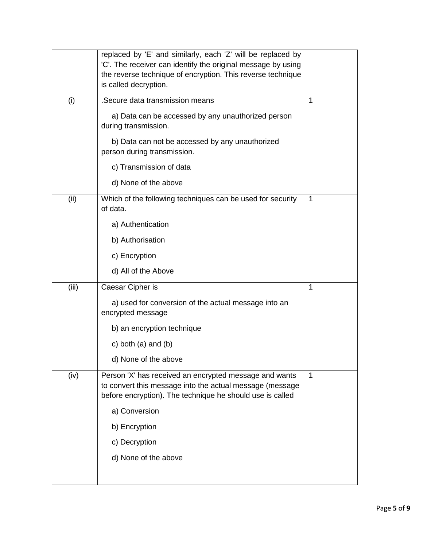|       | replaced by 'E' and similarly, each 'Z' will be replaced by                                                                                                                     |              |
|-------|---------------------------------------------------------------------------------------------------------------------------------------------------------------------------------|--------------|
|       | 'C'. The receiver can identify the original message by using                                                                                                                    |              |
|       | the reverse technique of encryption. This reverse technique                                                                                                                     |              |
|       | is called decryption.                                                                                                                                                           |              |
| (i)   | .Secure data transmission means                                                                                                                                                 | 1            |
|       | a) Data can be accessed by any unauthorized person<br>during transmission.                                                                                                      |              |
|       | b) Data can not be accessed by any unauthorized<br>person during transmission.                                                                                                  |              |
|       | c) Transmission of data                                                                                                                                                         |              |
|       | d) None of the above                                                                                                                                                            |              |
| (ii)  | Which of the following techniques can be used for security<br>of data.                                                                                                          | $\mathbf{1}$ |
|       | a) Authentication                                                                                                                                                               |              |
|       | b) Authorisation                                                                                                                                                                |              |
|       | c) Encryption                                                                                                                                                                   |              |
|       | d) All of the Above                                                                                                                                                             |              |
| (iii) | Caesar Cipher is                                                                                                                                                                | 1            |
|       | a) used for conversion of the actual message into an<br>encrypted message                                                                                                       |              |
|       | b) an encryption technique                                                                                                                                                      |              |
|       | c) both $(a)$ and $(b)$                                                                                                                                                         |              |
|       | d) None of the above                                                                                                                                                            |              |
| (iv)  | Person 'X' has received an encrypted message and wants<br>to convert this message into the actual message (message<br>before encryption). The technique he should use is called | $\mathbf 1$  |
|       | a) Conversion                                                                                                                                                                   |              |
|       | b) Encryption                                                                                                                                                                   |              |
|       | c) Decryption                                                                                                                                                                   |              |
|       | d) None of the above                                                                                                                                                            |              |
|       |                                                                                                                                                                                 |              |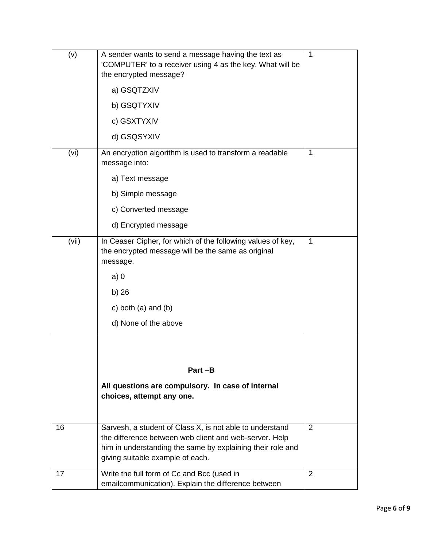| (v)   | A sender wants to send a message having the text as<br>'COMPUTER' to a receiver using 4 as the key. What will be<br>the encrypted message?                                                                           | 1            |
|-------|----------------------------------------------------------------------------------------------------------------------------------------------------------------------------------------------------------------------|--------------|
|       | a) GSQTZXIV                                                                                                                                                                                                          |              |
|       | b) GSQTYXIV                                                                                                                                                                                                          |              |
|       | c) GSXTYXIV                                                                                                                                                                                                          |              |
|       | d) GSQSYXIV                                                                                                                                                                                                          |              |
| (vi)  | An encryption algorithm is used to transform a readable<br>message into:                                                                                                                                             | 1            |
|       | a) Text message                                                                                                                                                                                                      |              |
|       | b) Simple message                                                                                                                                                                                                    |              |
|       | c) Converted message                                                                                                                                                                                                 |              |
|       | d) Encrypted message                                                                                                                                                                                                 |              |
| (vii) | In Ceaser Cipher, for which of the following values of key,<br>the encrypted message will be the same as original<br>message.                                                                                        | $\mathbf{1}$ |
|       | a)0                                                                                                                                                                                                                  |              |
|       | b) 26                                                                                                                                                                                                                |              |
|       | c) both $(a)$ and $(b)$                                                                                                                                                                                              |              |
|       | d) None of the above                                                                                                                                                                                                 |              |
|       | Part -B                                                                                                                                                                                                              |              |
|       |                                                                                                                                                                                                                      |              |
|       | All questions are compulsory. In case of internal<br>choices, attempt any one.                                                                                                                                       |              |
| 16    | Sarvesh, a student of Class X, is not able to understand<br>the difference between web client and web-server. Help<br>him in understanding the same by explaining their role and<br>giving suitable example of each. | 2            |
| 17    | Write the full form of Cc and Bcc (used in<br>emailcommunication). Explain the difference between                                                                                                                    | 2            |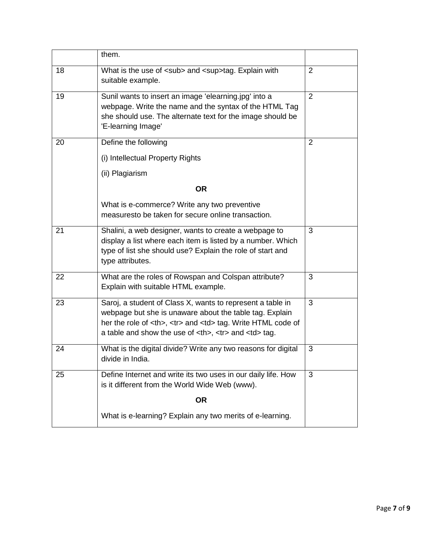|                                                                                                                                                                                                                                                                                                                                                                                                                                                                                                                                    | them.                                                                                                                                                                                                                                                                                                                                                                                                                                                                                                                                                                                                                                                                                                           |                                                                                                                                                                                                                                                                                                                                                                                                                                                                                                                                                               |                                                                                                                                                                                                                                                                                                                                                                                                                                                                                                                                    |                                                                                                                                                                                                                                                                                                                                                                                                                                                                        |                                                                                   |   |    |                                                                                                                 |   |    |                                                                                                                 |   |  |                                                           |  |  |                                                           |  |
|------------------------------------------------------------------------------------------------------------------------------------------------------------------------------------------------------------------------------------------------------------------------------------------------------------------------------------------------------------------------------------------------------------------------------------------------------------------------------------------------------------------------------------|-----------------------------------------------------------------------------------------------------------------------------------------------------------------------------------------------------------------------------------------------------------------------------------------------------------------------------------------------------------------------------------------------------------------------------------------------------------------------------------------------------------------------------------------------------------------------------------------------------------------------------------------------------------------------------------------------------------------|---------------------------------------------------------------------------------------------------------------------------------------------------------------------------------------------------------------------------------------------------------------------------------------------------------------------------------------------------------------------------------------------------------------------------------------------------------------------------------------------------------------------------------------------------------------|------------------------------------------------------------------------------------------------------------------------------------------------------------------------------------------------------------------------------------------------------------------------------------------------------------------------------------------------------------------------------------------------------------------------------------------------------------------------------------------------------------------------------------|------------------------------------------------------------------------------------------------------------------------------------------------------------------------------------------------------------------------------------------------------------------------------------------------------------------------------------------------------------------------------------------------------------------------------------------------------------------------|-----------------------------------------------------------------------------------|---|----|-----------------------------------------------------------------------------------------------------------------|---|----|-----------------------------------------------------------------------------------------------------------------|---|--|-----------------------------------------------------------|--|--|-----------------------------------------------------------|--|
| 18                                                                                                                                                                                                                                                                                                                                                                                                                                                                                                                                 | What is the use of <sub> and <sup>tag. Explain with<br/>suitable example.</sup></sub>                                                                                                                                                                                                                                                                                                                                                                                                                                                                                                                                                                                                                           | $\overline{2}$                                                                                                                                                                                                                                                                                                                                                                                                                                                                                                                                                |                                                                                                                                                                                                                                                                                                                                                                                                                                                                                                                                    |                                                                                                                                                                                                                                                                                                                                                                                                                                                                        |                                                                                   |   |    |                                                                                                                 |   |    |                                                                                                                 |   |  |                                                           |  |  |                                                           |  |
| 19                                                                                                                                                                                                                                                                                                                                                                                                                                                                                                                                 | Sunil wants to insert an image 'elearning.jpg' into a<br>webpage. Write the name and the syntax of the HTML Tag<br>she should use. The alternate text for the image should be<br>'E-learning Image'                                                                                                                                                                                                                                                                                                                                                                                                                                                                                                             | $\overline{2}$                                                                                                                                                                                                                                                                                                                                                                                                                                                                                                                                                |                                                                                                                                                                                                                                                                                                                                                                                                                                                                                                                                    |                                                                                                                                                                                                                                                                                                                                                                                                                                                                        |                                                                                   |   |    |                                                                                                                 |   |    |                                                                                                                 |   |  |                                                           |  |  |                                                           |  |
| 20                                                                                                                                                                                                                                                                                                                                                                                                                                                                                                                                 | Define the following                                                                                                                                                                                                                                                                                                                                                                                                                                                                                                                                                                                                                                                                                            | $\overline{2}$                                                                                                                                                                                                                                                                                                                                                                                                                                                                                                                                                |                                                                                                                                                                                                                                                                                                                                                                                                                                                                                                                                    |                                                                                                                                                                                                                                                                                                                                                                                                                                                                        |                                                                                   |   |    |                                                                                                                 |   |    |                                                                                                                 |   |  |                                                           |  |  |                                                           |  |
|                                                                                                                                                                                                                                                                                                                                                                                                                                                                                                                                    | (i) Intellectual Property Rights                                                                                                                                                                                                                                                                                                                                                                                                                                                                                                                                                                                                                                                                                |                                                                                                                                                                                                                                                                                                                                                                                                                                                                                                                                                               |                                                                                                                                                                                                                                                                                                                                                                                                                                                                                                                                    |                                                                                                                                                                                                                                                                                                                                                                                                                                                                        |                                                                                   |   |    |                                                                                                                 |   |    |                                                                                                                 |   |  |                                                           |  |  |                                                           |  |
|                                                                                                                                                                                                                                                                                                                                                                                                                                                                                                                                    | (ii) Plagiarism                                                                                                                                                                                                                                                                                                                                                                                                                                                                                                                                                                                                                                                                                                 |                                                                                                                                                                                                                                                                                                                                                                                                                                                                                                                                                               |                                                                                                                                                                                                                                                                                                                                                                                                                                                                                                                                    |                                                                                                                                                                                                                                                                                                                                                                                                                                                                        |                                                                                   |   |    |                                                                                                                 |   |    |                                                                                                                 |   |  |                                                           |  |  |                                                           |  |
|                                                                                                                                                                                                                                                                                                                                                                                                                                                                                                                                    | <b>OR</b>                                                                                                                                                                                                                                                                                                                                                                                                                                                                                                                                                                                                                                                                                                       |                                                                                                                                                                                                                                                                                                                                                                                                                                                                                                                                                               |                                                                                                                                                                                                                                                                                                                                                                                                                                                                                                                                    |                                                                                                                                                                                                                                                                                                                                                                                                                                                                        |                                                                                   |   |    |                                                                                                                 |   |    |                                                                                                                 |   |  |                                                           |  |  |                                                           |  |
|                                                                                                                                                                                                                                                                                                                                                                                                                                                                                                                                    | What is e-commerce? Write any two preventive<br>measuresto be taken for secure online transaction.                                                                                                                                                                                                                                                                                                                                                                                                                                                                                                                                                                                                              |                                                                                                                                                                                                                                                                                                                                                                                                                                                                                                                                                               |                                                                                                                                                                                                                                                                                                                                                                                                                                                                                                                                    |                                                                                                                                                                                                                                                                                                                                                                                                                                                                        |                                                                                   |   |    |                                                                                                                 |   |    |                                                                                                                 |   |  |                                                           |  |  |                                                           |  |
| 21                                                                                                                                                                                                                                                                                                                                                                                                                                                                                                                                 | Shalini, a web designer, wants to create a webpage to<br>display a list where each item is listed by a number. Which<br>type of list she should use? Explain the role of start and<br>type attributes.                                                                                                                                                                                                                                                                                                                                                                                                                                                                                                          | 3                                                                                                                                                                                                                                                                                                                                                                                                                                                                                                                                                             |                                                                                                                                                                                                                                                                                                                                                                                                                                                                                                                                    |                                                                                                                                                                                                                                                                                                                                                                                                                                                                        |                                                                                   |   |    |                                                                                                                 |   |    |                                                                                                                 |   |  |                                                           |  |  |                                                           |  |
| 22                                                                                                                                                                                                                                                                                                                                                                                                                                                                                                                                 | What are the roles of Rowspan and Colspan attribute?<br>Explain with suitable HTML example.                                                                                                                                                                                                                                                                                                                                                                                                                                                                                                                                                                                                                     | 3                                                                                                                                                                                                                                                                                                                                                                                                                                                                                                                                                             |                                                                                                                                                                                                                                                                                                                                                                                                                                                                                                                                    |                                                                                                                                                                                                                                                                                                                                                                                                                                                                        |                                                                                   |   |    |                                                                                                                 |   |    |                                                                                                                 |   |  |                                                           |  |  |                                                           |  |
| 23                                                                                                                                                                                                                                                                                                                                                                                                                                                                                                                                 | Saroj, a student of Class X, wants to represent a table in<br>webpage but she is unaware about the table tag. Explain<br>her the role of <th>, <tr> and <td> tag. Write HTML code of<br/>a table and show the use of <th>, <tr> and <td> tag.</td><td>3</td></tr><tr><td>24</td><td>What is the digital divide? Write any two reasons for digital<br/>divide in India.</td><td>3</td></tr><tr><td>25</td><td>Define Internet and write its two uses in our daily life. How<br/>is it different from the World Wide Web (www).</td><td>3</td></tr><tr><td></td><td><b>OR</b></td><td></td></tr><tr><td></td><td>What is e-learning? Explain any two merits of e-learning.</td><td></td></tr></th></td></tr></th> | , <tr> and <td> tag. Write HTML code of<br/>a table and show the use of <th>, <tr> and <td> tag.</td><td>3</td></tr><tr><td>24</td><td>What is the digital divide? Write any two reasons for digital<br/>divide in India.</td><td>3</td></tr><tr><td>25</td><td>Define Internet and write its two uses in our daily life. How<br/>is it different from the World Wide Web (www).</td><td>3</td></tr><tr><td></td><td><b>OR</b></td><td></td></tr><tr><td></td><td>What is e-learning? Explain any two merits of e-learning.</td><td></td></tr></th></td></tr> | tag. Write HTML code of<br>a table and show the use of <th>, <tr> and <td> tag.</td><td>3</td></tr><tr><td>24</td><td>What is the digital divide? Write any two reasons for digital<br/>divide in India.</td><td>3</td></tr><tr><td>25</td><td>Define Internet and write its two uses in our daily life. How<br/>is it different from the World Wide Web (www).</td><td>3</td></tr><tr><td></td><td><b>OR</b></td><td></td></tr><tr><td></td><td>What is e-learning? Explain any two merits of e-learning.</td><td></td></tr></th> | , <tr> and <td> tag.</td><td>3</td></tr> <tr><td>24</td><td>What is the digital divide? Write any two reasons for digital<br/>divide in India.</td><td>3</td></tr> <tr><td>25</td><td>Define Internet and write its two uses in our daily life. How<br/>is it different from the World Wide Web (www).</td><td>3</td></tr> <tr><td></td><td><b>OR</b></td><td></td></tr> <tr><td></td><td>What is e-learning? Explain any two merits of e-learning.</td><td></td></tr> | tag.                                                                              | 3 | 24 | What is the digital divide? Write any two reasons for digital<br>divide in India.                               | 3 | 25 | Define Internet and write its two uses in our daily life. How<br>is it different from the World Wide Web (www). | 3 |  | <b>OR</b>                                                 |  |  | What is e-learning? Explain any two merits of e-learning. |  |
| tag. Write HTML code of<br>a table and show the use of <th>, <tr> and <td> tag.</td><td>3</td></tr><tr><td>24</td><td>What is the digital divide? Write any two reasons for digital<br/>divide in India.</td><td>3</td></tr><tr><td>25</td><td>Define Internet and write its two uses in our daily life. How<br/>is it different from the World Wide Web (www).</td><td>3</td></tr><tr><td></td><td><b>OR</b></td><td></td></tr><tr><td></td><td>What is e-learning? Explain any two merits of e-learning.</td><td></td></tr></th> | , <tr> and <td> tag.</td><td>3</td></tr> <tr><td>24</td><td>What is the digital divide? Write any two reasons for digital<br/>divide in India.</td><td>3</td></tr> <tr><td>25</td><td>Define Internet and write its two uses in our daily life. How<br/>is it different from the World Wide Web (www).</td><td>3</td></tr> <tr><td></td><td><b>OR</b></td><td></td></tr> <tr><td></td><td>What is e-learning? Explain any two merits of e-learning.</td><td></td></tr>                                                                                                                                                                                                                                          | tag.                                                                                                                                                                                                                                                                                                                                                                                                                                                                                                                                                          | 3                                                                                                                                                                                                                                                                                                                                                                                                                                                                                                                                  | 24                                                                                                                                                                                                                                                                                                                                                                                                                                                                     | What is the digital divide? Write any two reasons for digital<br>divide in India. | 3 | 25 | Define Internet and write its two uses in our daily life. How<br>is it different from the World Wide Web (www). | 3 |    | <b>OR</b>                                                                                                       |   |  | What is e-learning? Explain any two merits of e-learning. |  |  |                                                           |  |
| tag.                                                                                                                                                                                                                                                                                                                                                                                                                                                                                                                               | 3                                                                                                                                                                                                                                                                                                                                                                                                                                                                                                                                                                                                                                                                                                               |                                                                                                                                                                                                                                                                                                                                                                                                                                                                                                                                                               |                                                                                                                                                                                                                                                                                                                                                                                                                                                                                                                                    |                                                                                                                                                                                                                                                                                                                                                                                                                                                                        |                                                                                   |   |    |                                                                                                                 |   |    |                                                                                                                 |   |  |                                                           |  |  |                                                           |  |
| 24                                                                                                                                                                                                                                                                                                                                                                                                                                                                                                                                 | What is the digital divide? Write any two reasons for digital<br>divide in India.                                                                                                                                                                                                                                                                                                                                                                                                                                                                                                                                                                                                                               | 3                                                                                                                                                                                                                                                                                                                                                                                                                                                                                                                                                             |                                                                                                                                                                                                                                                                                                                                                                                                                                                                                                                                    |                                                                                                                                                                                                                                                                                                                                                                                                                                                                        |                                                                                   |   |    |                                                                                                                 |   |    |                                                                                                                 |   |  |                                                           |  |  |                                                           |  |
| 25                                                                                                                                                                                                                                                                                                                                                                                                                                                                                                                                 | Define Internet and write its two uses in our daily life. How<br>is it different from the World Wide Web (www).                                                                                                                                                                                                                                                                                                                                                                                                                                                                                                                                                                                                 | 3                                                                                                                                                                                                                                                                                                                                                                                                                                                                                                                                                             |                                                                                                                                                                                                                                                                                                                                                                                                                                                                                                                                    |                                                                                                                                                                                                                                                                                                                                                                                                                                                                        |                                                                                   |   |    |                                                                                                                 |   |    |                                                                                                                 |   |  |                                                           |  |  |                                                           |  |
|                                                                                                                                                                                                                                                                                                                                                                                                                                                                                                                                    | <b>OR</b>                                                                                                                                                                                                                                                                                                                                                                                                                                                                                                                                                                                                                                                                                                       |                                                                                                                                                                                                                                                                                                                                                                                                                                                                                                                                                               |                                                                                                                                                                                                                                                                                                                                                                                                                                                                                                                                    |                                                                                                                                                                                                                                                                                                                                                                                                                                                                        |                                                                                   |   |    |                                                                                                                 |   |    |                                                                                                                 |   |  |                                                           |  |  |                                                           |  |
|                                                                                                                                                                                                                                                                                                                                                                                                                                                                                                                                    | What is e-learning? Explain any two merits of e-learning.                                                                                                                                                                                                                                                                                                                                                                                                                                                                                                                                                                                                                                                       |                                                                                                                                                                                                                                                                                                                                                                                                                                                                                                                                                               |                                                                                                                                                                                                                                                                                                                                                                                                                                                                                                                                    |                                                                                                                                                                                                                                                                                                                                                                                                                                                                        |                                                                                   |   |    |                                                                                                                 |   |    |                                                                                                                 |   |  |                                                           |  |  |                                                           |  |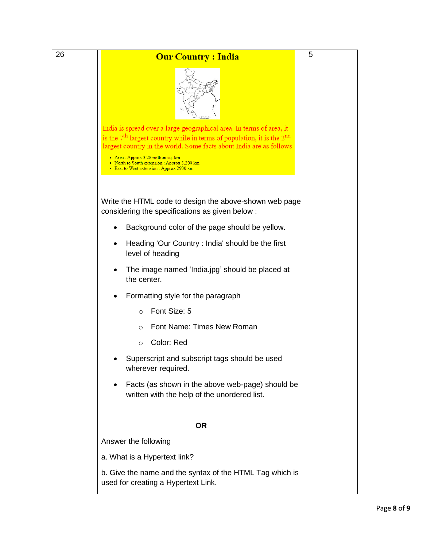